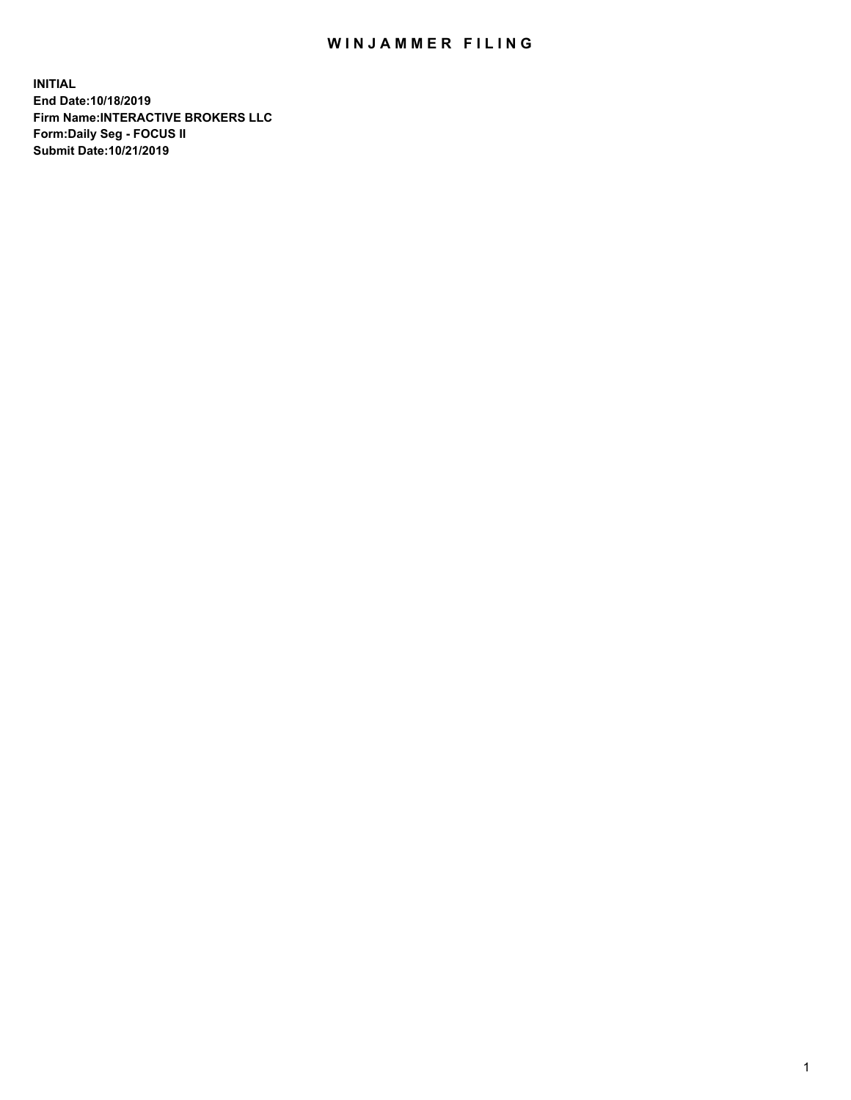## WIN JAMMER FILING

**INITIAL End Date:10/18/2019 Firm Name:INTERACTIVE BROKERS LLC Form:Daily Seg - FOCUS II Submit Date:10/21/2019**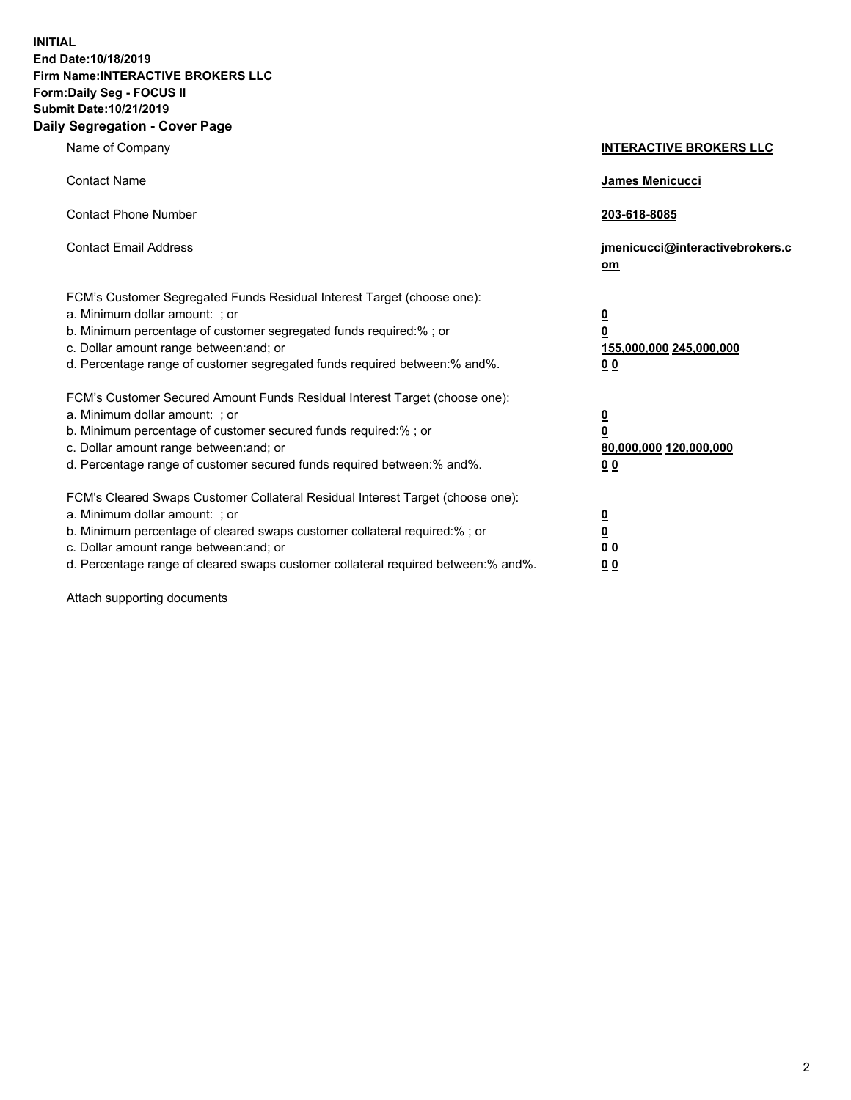**INITIAL End Date:10/18/2019 Firm Name:INTERACTIVE BROKERS LLC Form:Daily Seg - FOCUS II Submit Date:10/21/2019 Daily Segregation - Cover Page**

| Name of Company                                                                                                                                                                                                                                                                                                                | <b>INTERACTIVE BROKERS LLC</b>                                                                  |
|--------------------------------------------------------------------------------------------------------------------------------------------------------------------------------------------------------------------------------------------------------------------------------------------------------------------------------|-------------------------------------------------------------------------------------------------|
| <b>Contact Name</b>                                                                                                                                                                                                                                                                                                            | James Menicucci                                                                                 |
| <b>Contact Phone Number</b>                                                                                                                                                                                                                                                                                                    | 203-618-8085                                                                                    |
| <b>Contact Email Address</b>                                                                                                                                                                                                                                                                                                   | jmenicucci@interactivebrokers.c<br>om                                                           |
| FCM's Customer Segregated Funds Residual Interest Target (choose one):<br>a. Minimum dollar amount: ; or<br>b. Minimum percentage of customer segregated funds required:% ; or<br>c. Dollar amount range between: and; or<br>d. Percentage range of customer segregated funds required between:% and%.                         | $\overline{\mathbf{0}}$<br>$\overline{\mathbf{0}}$<br>155,000,000 245,000,000<br>0 <sub>0</sub> |
| FCM's Customer Secured Amount Funds Residual Interest Target (choose one):<br>a. Minimum dollar amount: ; or<br>b. Minimum percentage of customer secured funds required:% ; or<br>c. Dollar amount range between: and; or<br>d. Percentage range of customer secured funds required between:% and%.                           | $\overline{\mathbf{0}}$<br>0<br>80,000,000 120,000,000<br>0 <sub>0</sub>                        |
| FCM's Cleared Swaps Customer Collateral Residual Interest Target (choose one):<br>a. Minimum dollar amount: ; or<br>b. Minimum percentage of cleared swaps customer collateral required:% ; or<br>c. Dollar amount range between: and; or<br>d. Percentage range of cleared swaps customer collateral required between:% and%. | $\overline{\mathbf{0}}$<br><u>0</u><br>$\underline{0}$ $\underline{0}$<br>00                    |

Attach supporting documents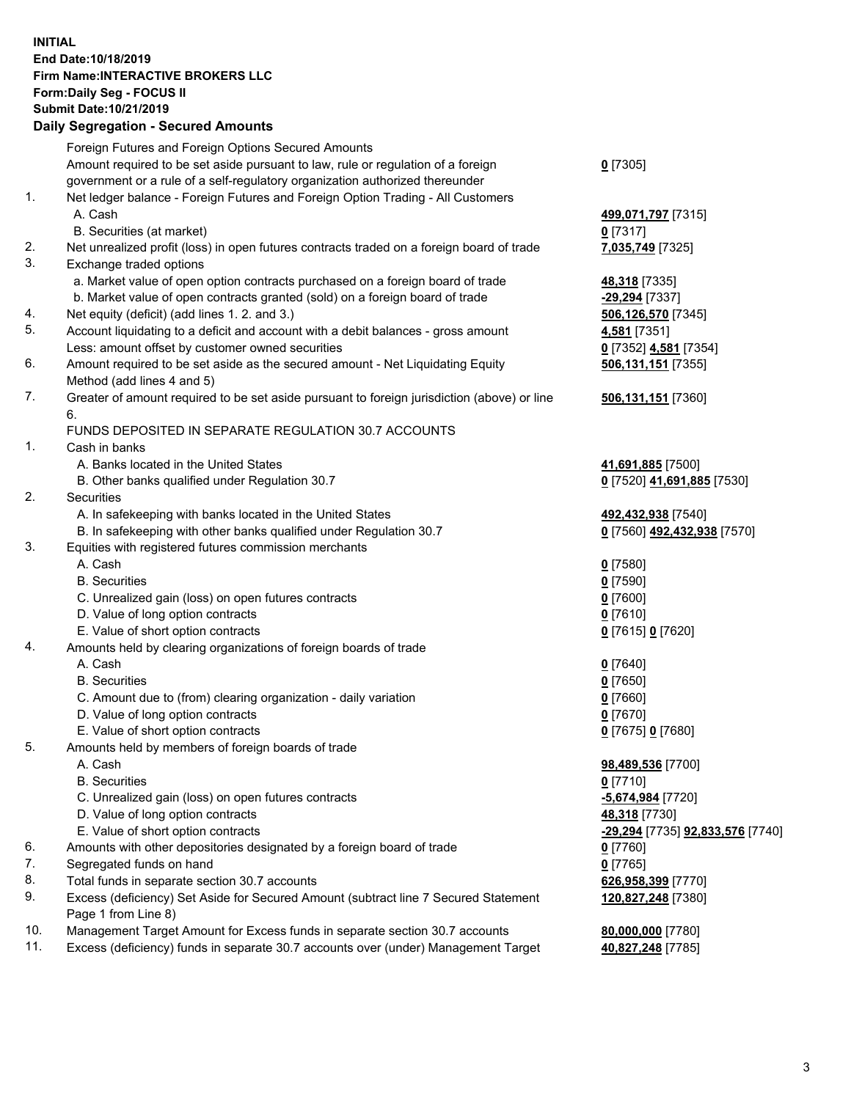## **INITIAL End Date:10/18/2019 Firm Name:INTERACTIVE BROKERS LLC Form:Daily Seg - FOCUS II Submit Date:10/21/2019 Daily Segregation - Secured Amounts**

|            | Daily Segregation - Secured Amounts                                                         |                                  |
|------------|---------------------------------------------------------------------------------------------|----------------------------------|
|            | Foreign Futures and Foreign Options Secured Amounts                                         |                                  |
|            | Amount required to be set aside pursuant to law, rule or regulation of a foreign            | $0$ [7305]                       |
|            | government or a rule of a self-regulatory organization authorized thereunder                |                                  |
| 1.         | Net ledger balance - Foreign Futures and Foreign Option Trading - All Customers             |                                  |
|            | A. Cash                                                                                     | 499,071,797 [7315]               |
|            | B. Securities (at market)                                                                   | $0$ [7317]                       |
| 2.         | Net unrealized profit (loss) in open futures contracts traded on a foreign board of trade   | 7,035,749 [7325]                 |
| 3.         | Exchange traded options                                                                     |                                  |
|            | a. Market value of open option contracts purchased on a foreign board of trade              | 48,318 [7335]                    |
|            | b. Market value of open contracts granted (sold) on a foreign board of trade                | -29,294 [7337]                   |
| 4.         | Net equity (deficit) (add lines 1. 2. and 3.)                                               | 506,126,570 [7345]               |
| 5.         | Account liquidating to a deficit and account with a debit balances - gross amount           | 4,581 [7351]                     |
|            | Less: amount offset by customer owned securities                                            | 0 [7352] 4,581 [7354]            |
| 6.         | Amount required to be set aside as the secured amount - Net Liquidating Equity              | 506,131,151 [7355]               |
|            | Method (add lines 4 and 5)                                                                  |                                  |
| 7.         | Greater of amount required to be set aside pursuant to foreign jurisdiction (above) or line | 506,131,151 [7360]               |
|            | 6.                                                                                          |                                  |
|            | FUNDS DEPOSITED IN SEPARATE REGULATION 30.7 ACCOUNTS                                        |                                  |
| 1.         | Cash in banks                                                                               |                                  |
|            | A. Banks located in the United States                                                       | 41,691,885 [7500]                |
|            | B. Other banks qualified under Regulation 30.7                                              | 0 [7520] 41,691,885 [7530]       |
| 2.         | Securities                                                                                  |                                  |
|            | A. In safekeeping with banks located in the United States                                   | 492,432,938 [7540]               |
|            | B. In safekeeping with other banks qualified under Regulation 30.7                          | 0 [7560] 492,432,938 [7570]      |
| 3.         | Equities with registered futures commission merchants                                       |                                  |
|            | A. Cash                                                                                     | $0$ [7580]                       |
|            | <b>B.</b> Securities                                                                        | $0$ [7590]                       |
|            | C. Unrealized gain (loss) on open futures contracts                                         | $0$ [7600]                       |
|            | D. Value of long option contracts                                                           | $0$ [7610]                       |
|            | E. Value of short option contracts                                                          | 0 [7615] 0 [7620]                |
| 4.         | Amounts held by clearing organizations of foreign boards of trade                           |                                  |
|            | A. Cash                                                                                     | $0$ [7640]                       |
|            | <b>B.</b> Securities                                                                        | $0$ [7650]                       |
|            | C. Amount due to (from) clearing organization - daily variation                             | $0$ [7660]                       |
|            | D. Value of long option contracts                                                           | $0$ [7670]                       |
|            | E. Value of short option contracts                                                          | 0 [7675] 0 [7680]                |
| 5.         | Amounts held by members of foreign boards of trade                                          |                                  |
|            | A. Cash                                                                                     | 98,489,536 [7700]                |
|            | <b>B.</b> Securities                                                                        | $0$ [7710]                       |
|            | C. Unrealized gain (loss) on open futures contracts                                         | -5,674,984 [7720]                |
|            | D. Value of long option contracts                                                           | 48,318 [7730]                    |
|            | E. Value of short option contracts                                                          | -29,294 [7735] 92,833,576 [7740] |
| 6.         | Amounts with other depositories designated by a foreign board of trade                      | 0 [7760]                         |
| 7.         | Segregated funds on hand                                                                    | $0$ [7765]                       |
| 8.         | Total funds in separate section 30.7 accounts                                               | 626,958,399 [7770]               |
| 9.         | Excess (deficiency) Set Aside for Secured Amount (subtract line 7 Secured Statement         | 120,827,248 [7380]               |
|            | Page 1 from Line 8)                                                                         |                                  |
| 10.<br>11. | Management Target Amount for Excess funds in separate section 30.7 accounts                 | 80,000,000 [7780]                |
|            | Excess (deficiency) funds in separate 30.7 accounts over (under) Management Target          | 40,827,248 [7785]                |
|            |                                                                                             |                                  |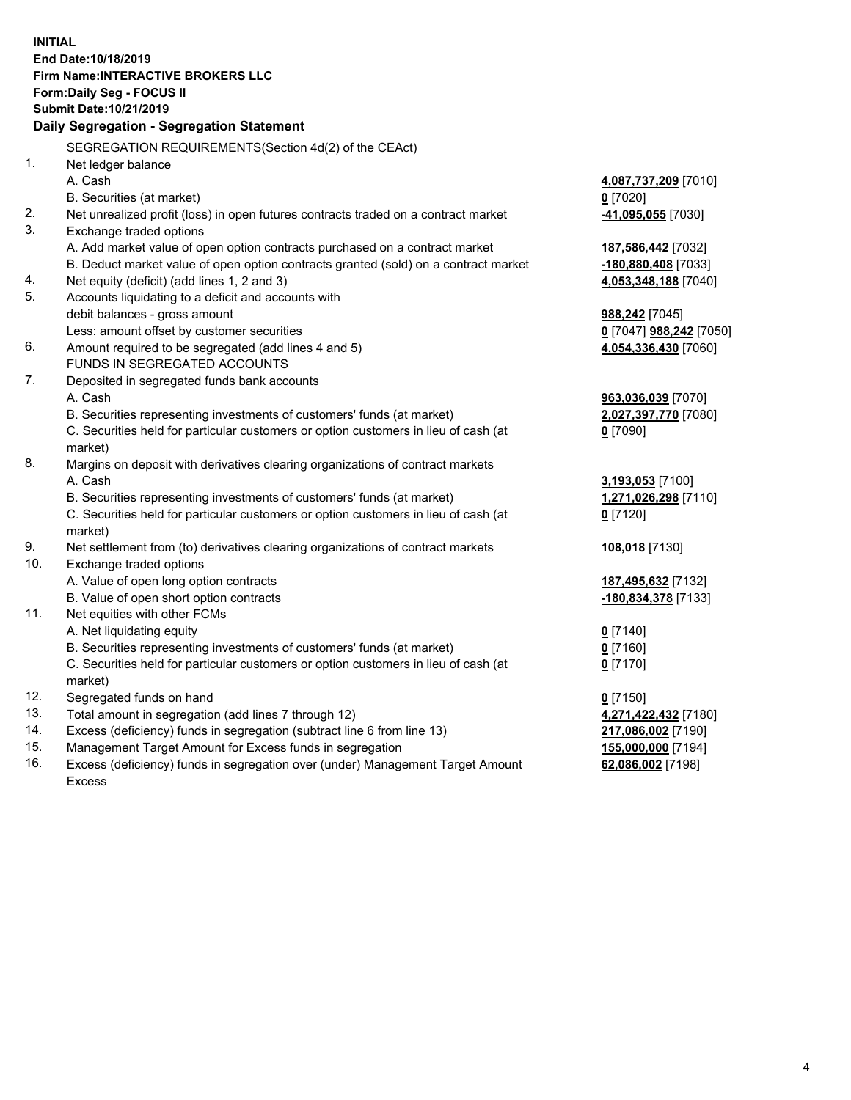**INITIAL End Date:10/18/2019 Firm Name:INTERACTIVE BROKERS LLC Form:Daily Seg - FOCUS II Submit Date:10/21/2019 Daily Segregation - Segregation Statement** SEGREGATION REQUIREMENTS(Section 4d(2) of the CEAct) 1. Net ledger balance A. Cash **4,087,737,209** [7010] B. Securities (at market) **0** [7020] 2. Net unrealized profit (loss) in open futures contracts traded on a contract market **-41,095,055** [7030] 3. Exchange traded options A. Add market value of open option contracts purchased on a contract market **187,586,442** [7032] B. Deduct market value of open option contracts granted (sold) on a contract market **-180,880,408** [7033] 4. Net equity (deficit) (add lines 1, 2 and 3) **4,053,348,188** [7040] 5. Accounts liquidating to a deficit and accounts with debit balances - gross amount **988,242** [7045] Less: amount offset by customer securities **0** [7047] **988,242** [7050] 6. Amount required to be segregated (add lines 4 and 5) **4,054,336,430** [7060] FUNDS IN SEGREGATED ACCOUNTS 7. Deposited in segregated funds bank accounts A. Cash **963,036,039** [7070] B. Securities representing investments of customers' funds (at market) **2,027,397,770** [7080] C. Securities held for particular customers or option customers in lieu of cash (at market) **0** [7090] 8. Margins on deposit with derivatives clearing organizations of contract markets A. Cash **3,193,053** [7100] B. Securities representing investments of customers' funds (at market) **1,271,026,298** [7110] C. Securities held for particular customers or option customers in lieu of cash (at market) **0** [7120] 9. Net settlement from (to) derivatives clearing organizations of contract markets **108,018** [7130] 10. Exchange traded options A. Value of open long option contracts **187,495,632** [7132] B. Value of open short option contracts **-180,834,378** [7133] 11. Net equities with other FCMs A. Net liquidating equity **0** [7140] B. Securities representing investments of customers' funds (at market) **0** [7160] C. Securities held for particular customers or option customers in lieu of cash (at market) **0** [7170] 12. Segregated funds on hand **0** [7150] 13. Total amount in segregation (add lines 7 through 12) **4,271,422,432** [7180] 14. Excess (deficiency) funds in segregation (subtract line 6 from line 13) **217,086,002** [7190] 15. Management Target Amount for Excess funds in segregation **155,000,000** [7194]

16. Excess (deficiency) funds in segregation over (under) Management Target Amount Excess

**62,086,002** [7198]